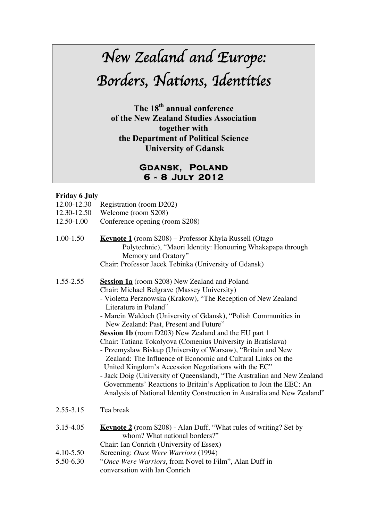# *New Zealand and Europe: Borders, Nations, Identities*

The 18<sup>th</sup> annual conference of the New Zealand Studies Association together with the Department of Political Science University of Gdansk

### **Gdansk, Poland 6 - 8 July 2012**

#### **Friday 6 July**

- 12.00-12.30 Registration (room D202)
- 12.30-12.50 Welcome (room S208)
- 12.50-1.00 Conference opening (room S208)
- 1.00-1.50 **Keynote 1** (room S208) Professor Khyla Russell (Otago Polytechnic), "Maori Identity: Honouring Whakapapa through Memory and Oratory"

Chair: Professor Jacek Tebinka (University of Gdansk)

- 1.55-2.55 **Session 1a** (room S208) New Zealand and Poland Chair: Michael Belgrave (Massey University)
	- Violetta Perznowska (Krakow), "The Reception of New Zealand Literature in Poland"
	- Marcin Waldoch (University of Gdansk), "Polish Communities in New Zealand: Past, Present and Future"
	- **Session 1b** (room D203) New Zealand and the EU part 1 Chair: Tatiana Tokolyova (Comenius University in Bratislava)
	- Przemyslaw Biskup (University of Warsaw), "Britain and New Zealand: The Influence of Economic and Cultural Links on the United Kingdom's Accession Negotiations with the EC"
	- Jack Doig (University of Queensland), "The Australian and New Zealand Governments' Reactions to Britain's Application to Join the EEC: An Analysis of National Identity Construction in Australia and New Zealand"
- 2.55-3.15 Tea break
- 3.15-4.05 **Keynote 2** (room S208) Alan Duff, "What rules of writing? Set by whom? What national borders?"
- Chair: Ian Conrich (University of Essex)
- 4.10-5.50 Screening: *Once Were Warriors* (1994)
- 5.50-6.30 "*Once Were Warriors*, from Novel to Film", Alan Duff in conversation with Ian Conrich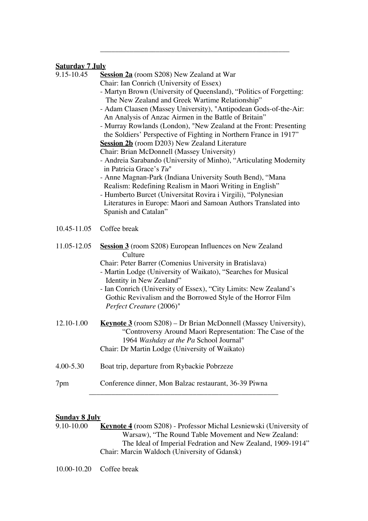#### **Saturday 7 July**

| Chair: Ian Conrich (University of Essex)<br>- Martyn Brown (University of Queensland), "Politics of Forgetting:<br>The New Zealand and Greek Wartime Relationship"<br>- Adam Claasen (Massey University), "Antipodean Gods-of-the-Air:<br>An Analysis of Anzac Airmen in the Battle of Britain"<br>- Murray Rowlands (London), "New Zealand at the Front: Presenting<br>the Soldiers' Perspective of Fighting in Northern France in 1917"<br>Session 2b (room D203) New Zealand Literature<br>Chair: Brian McDonnell (Massey University)<br>- Andreia Sarabando (University of Minho), "Articulating Modernity<br>in Patricia Grace's $Tu$ "<br>- Anne Magnan-Park (Indiana University South Bend), "Mana<br>Realism: Redefining Realism in Maori Writing in English"<br>- Humberto Burcet (Universitat Rovira i Virgili), "Polynesian<br>Literatures in Europe: Maori and Samoan Authors Translated into<br>Spanish and Catalan" |  |
|-----------------------------------------------------------------------------------------------------------------------------------------------------------------------------------------------------------------------------------------------------------------------------------------------------------------------------------------------------------------------------------------------------------------------------------------------------------------------------------------------------------------------------------------------------------------------------------------------------------------------------------------------------------------------------------------------------------------------------------------------------------------------------------------------------------------------------------------------------------------------------------------------------------------------------------|--|
| 10.45-11.05<br>Coffee break                                                                                                                                                                                                                                                                                                                                                                                                                                                                                                                                                                                                                                                                                                                                                                                                                                                                                                       |  |
| 11.05-12.05<br><b>Session 3</b> (room S208) European Influences on New Zealand<br>Culture<br>Chair: Peter Barrer (Comenius University in Bratislava)<br>- Martin Lodge (University of Waikato), "Searches for Musical<br>Identity in New Zealand"<br>- Ian Conrich (University of Essex), "City Limits: New Zealand's<br>Gothic Revivalism and the Borrowed Style of the Horror Film<br>Perfect Creature (2006)"                                                                                                                                                                                                                                                                                                                                                                                                                                                                                                                  |  |
| 12.10-1.00<br><b><u>Keynote 3</u></b> (room $S208$ ) – Dr Brian McDonnell (Massey University),<br>"Controversy Around Maori Representation: The Case of the<br>1964 Washday at the Pa School Journal"<br>Chair: Dr Martin Lodge (University of Waikato)                                                                                                                                                                                                                                                                                                                                                                                                                                                                                                                                                                                                                                                                           |  |
| 4.00-5.30<br>Boat trip, departure from Rybackie Pobrzeze                                                                                                                                                                                                                                                                                                                                                                                                                                                                                                                                                                                                                                                                                                                                                                                                                                                                          |  |
| Conference dinner, Mon Balzac restaurant, 36-39 Piwna<br>7pm                                                                                                                                                                                                                                                                                                                                                                                                                                                                                                                                                                                                                                                                                                                                                                                                                                                                      |  |

\_\_\_\_\_\_\_\_\_\_\_\_\_\_\_\_\_\_\_\_\_\_\_\_\_\_\_\_\_\_\_\_\_\_\_\_\_\_\_\_\_\_\_\_\_\_\_\_\_\_\_

## **Sunday 8 July**<br>9.10-10.00 **1**

Keynote 4 (room S208) - Professor Michal Lesniewski (University of Warsaw), "The Round Table Movement and New Zealand: The Ideal of Imperial Fedration and New Zealand, 1909-1914" Chair: Marcin Waldoch (University of Gdansk)

10.00-10.20 Coffee break